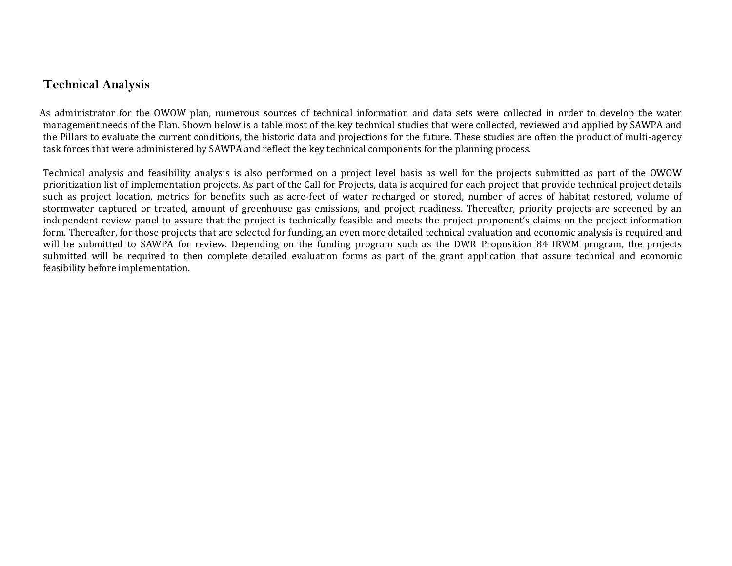## **Technical Analysis**

As administrator for the OWOW plan, numerous sources of technical information and data sets were collected in order to develop the water management needs of the Plan. Shown below is a table most of the key technical studies that were collected, reviewed and applied by SAWPA and the Pillars to evaluate the current conditions, the historic data and projections for the future. These studies are often the product of multi‐agency task forces that were administered by SAWPA and reflect the key technical components for the planning process.

Technical analysis and feasibility analysis is also performed on a project level basis as well for the projects submitted as part of the OWOW prioritization list of implementation projects. As part of the Call for Projects, data is acquired for each project that provide technical project details such as project location, metrics for benefits such as acre-feet of water recharged or stored, number of acres of habitat restored, volume of stormwater captured or treated, amount of greenhouse gas emissions, and project readiness. Thereafter, priority projects are screened by an independent review panel to assure that the project is technically feasible and meets the project proponent's claims on the project information form. Thereafter, for those projects that are selected for funding, an even more detailed technical evaluation and economic analysis is required and will be submitted to SAWPA for review. Depending on the funding program such as the DWR Proposition 84 IRWM program, the projects submitted will be required to then complete detailed evaluation forms as part of the grant application that assure technical and economic feasibility before implementation.